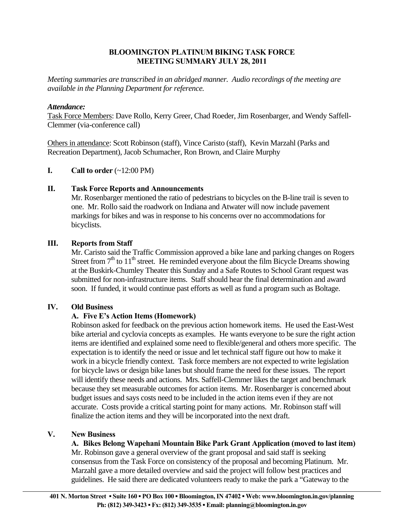# **BLOOMINGTON PLATINUM BIKING TASK FORCE MEETING SUMMARY JULY 28, 2011**

*Meeting summaries are transcribed in an abridged manner. Audio recordings of the meeting are available in the Planning Department for reference.* 

# *Attendance:*

Task Force Members: Dave Rollo, Kerry Greer, Chad Roeder, Jim Rosenbarger, and Wendy Saffell-Clemmer (via-conference call)

Others in attendance: Scott Robinson (staff), Vince Caristo (staff), Kevin Marzahl (Parks and Recreation Department), Jacob Schumacher, Ron Brown, and Claire Murphy

#### **I.** Call to order  $(\sim 12:00 \text{ PM})$

#### **II. Task Force Reports and Announcements**

 Mr. Rosenbarger mentioned the ratio of pedestrians to bicycles on the B-line trail is seven to one. Mr. Rollo said the roadwork on Indiana and Atwater will now include pavement markings for bikes and was in response to his concerns over no accommodations for bicyclists.

# **III. Reports from Staff**

Mr. Caristo said the Traffic Commission approved a bike lane and parking changes on Rogers Street from  $7<sup>th</sup>$  to  $11<sup>th</sup>$  street. He reminded everyone about the film Bicycle Dreams showing at the Buskirk-Chumley Theater this Sunday and a Safe Routes to School Grant request was submitted for non-infrastructure items. Staff should hear the final determination and award soon. If funded, it would continue past efforts as well as fund a program such as Boltage.

#### **IV. Old Business**

# **A. Five E's Action Items (Homework)**

Robinson asked for feedback on the previous action homework items. He used the East-West bike arterial and cyclovia concepts as examples. He wants everyone to be sure the right action items are identified and explained some need to flexible/general and others more specific. The expectation is to identify the need or issue and let technical staff figure out how to make it work in a bicycle friendly context. Task force members are not expected to write legislation for bicycle laws or design bike lanes but should frame the need for these issues. The report will identify these needs and actions. Mrs. Saffell-Clemmer likes the target and benchmark because they set measurable outcomes for action items. Mr. Rosenbarger is concerned about budget issues and says costs need to be included in the action items even if they are not accurate. Costs provide a critical starting point for many actions. Mr. Robinson staff will finalize the action items and they will be incorporated into the next draft.

# **V. New Business**

**A. Bikes Belong Wapehani Mountain Bike Park Grant Application (moved to last item)**  Mr. Robinson gave a general overview of the grant proposal and said staff is seeking consensus from the Task Force on consistency of the proposal and becoming Platinum. Mr. Marzahl gave a more detailed overview and said the project will follow best practices and guidelines. He said there are dedicated volunteers ready to make the park a "Gateway to the